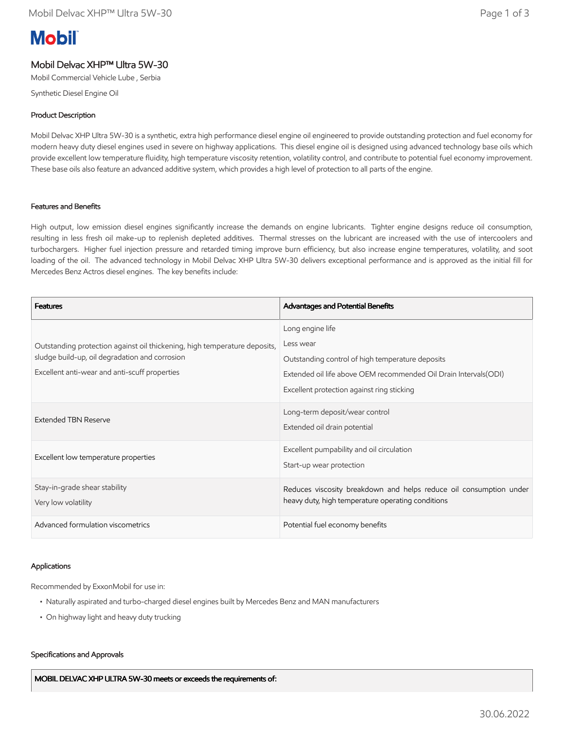# **Mobil**

## Mobil Delvac XHP™ Ultra 5W-30

Mobil Commercial Vehicle Lube , Serbia

Synthetic Diesel Engine Oil

## Product Description

Mobil Delvac XHP Ultra 5W-30 is a synthetic, extra high performance diesel engine oil engineered to provide outstanding protection and fuel economy for modern heavy duty diesel engines used in severe on highway applications. This diesel engine oil is designed using advanced technology base oils which provide excellent low temperature fluidity, high temperature viscosity retention, volatility control, and contribute to potential fuel economy improvement. These base oils also feature an advanced additive system, which provides a high level of protection to all parts of the engine.

## Features and Benefits

High output, low emission diesel engines significantly increase the demands on engine lubricants. Tighter engine designs reduce oil consumption, resulting in less fresh oil make-up to replenish depleted additives. Thermal stresses on the lubricant are increased with the use of intercoolers and turbochargers. Higher fuel injection pressure and retarded timing improve burn efficiency, but also increase engine temperatures, volatility, and soot loading of the oil. The advanced technology in Mobil Delvac XHP Ultra 5W-30 delivers exceptional performance and is approved as the initial fill for Mercedes Benz Actros diesel engines. The key benefits include:

| <b>Features</b>                                                                                                                                                              | Advantages and Potential Benefits                                  |
|------------------------------------------------------------------------------------------------------------------------------------------------------------------------------|--------------------------------------------------------------------|
| Outstanding protection against oil thickening, high temperature deposits,<br>sludge build-up, oil degradation and corrosion<br>Excellent anti-wear and anti-scuff properties | Long engine life                                                   |
|                                                                                                                                                                              | Less wear                                                          |
|                                                                                                                                                                              | Outstanding control of high temperature deposits                   |
|                                                                                                                                                                              | Extended oil life above OEM recommended Oil Drain Intervals (ODI)  |
|                                                                                                                                                                              | Excellent protection against ring sticking                         |
| <b>Extended TBN Reserve</b>                                                                                                                                                  | Long-term deposit/wear control                                     |
|                                                                                                                                                                              | Extended oil drain potential                                       |
| Excellent low temperature properties                                                                                                                                         | Excellent pumpability and oil circulation                          |
|                                                                                                                                                                              | Start-up wear protection                                           |
| Stay-in-grade shear stability                                                                                                                                                | Reduces viscosity breakdown and helps reduce oil consumption under |
| Very low volatility                                                                                                                                                          | heavy duty, high temperature operating conditions                  |
| Advanced formulation viscometrics                                                                                                                                            | Potential fuel economy benefits                                    |

## Applications

Recommended by ExxonMobil for use in:

- Naturally aspirated and turbo-charged diesel engines built by Mercedes Benz and MAN manufacturers
- On highway light and heavy duty trucking

#### Specifications and Approvals

MOBIL DELVAC XHP ULTRA 5W-30 meets or exceeds the requirements of: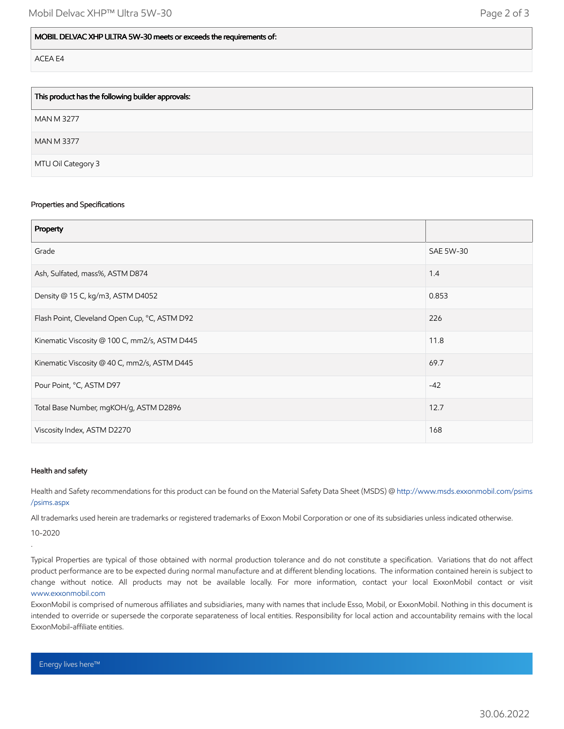| This product has the following builder approvals: |
|---------------------------------------------------|
| <b>MAN M 3277</b>                                 |
| <b>MAN M 3377</b>                                 |
| MTU Oil Category 3                                |

#### Properties and Specifications

| Property                                      |                  |
|-----------------------------------------------|------------------|
| Grade                                         | <b>SAE 5W-30</b> |
| Ash, Sulfated, mass%, ASTM D874               | 1.4              |
| Density @ 15 C, kg/m3, ASTM D4052             | 0.853            |
| Flash Point, Cleveland Open Cup, °C, ASTM D92 | 226              |
| Kinematic Viscosity @ 100 C, mm2/s, ASTM D445 | 11.8             |
| Kinematic Viscosity @ 40 C, mm2/s, ASTM D445  | 69.7             |
| Pour Point, °C, ASTM D97                      | $-42$            |
| Total Base Number, mgKOH/g, ASTM D2896        | 12.7             |
| Viscosity Index, ASTM D2270                   | 168              |

#### Health and safety

Health and Safety recommendations for this product can be found on the Material Safety Data Sheet (MSDS) @ [http://www.msds.exxonmobil.com/psims](http://www.msds.exxonmobil.com/psims/psims.aspx) /psims.aspx

All trademarks used herein are trademarks or registered trademarks of Exxon Mobil Corporation or one of its subsidiaries unless indicated otherwise.

10-2020

.

Typical Properties are typical of those obtained with normal production tolerance and do not constitute a specification. Variations that do not affect product performance are to be expected during normal manufacture and at different blending locations. The information contained herein is subject to change without notice. All products may not be available locally. For more information, contact your local ExxonMobil contact or visit [www.exxonmobil.com](http://www.exxonmobil.com/)

ExxonMobil is comprised of numerous affiliates and subsidiaries, many with names that include Esso, Mobil, or ExxonMobil. Nothing in this document is intended to override or supersede the corporate separateness of local entities. Responsibility for local action and accountability remains with the local ExxonMobil-affiliate entities.